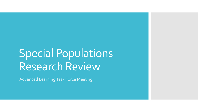# Special Populations Research Review

Advanced Learning Task Force Meeting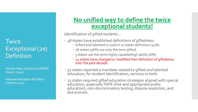### Exceptional (2e) **Twice** Definition

Mcclain, Mary-Catherine & Pfeiffer, Steven. (2012).

 National Association for Gifted Children (2015).

### **No unified way to define the twice exceptional students!**

Identification of gifted students…

- 48 states have established definitions of giftedness.
	- Gifted and talented is used in 27 states definition (54%)
	- 18 states (36%) use only the term gifted.
	- 3 states use the term highly capable/high ability (6%)
	- 24 states have changed or modified their definition of giftedness over the past decade.
- 32 states reported a mandate related to gifted and talented education, for student identification, services or both.
- 23 states required gifted education strategies aligned with special education, especially FAPE (free and appropriate public education), non-discriminatory testing, dispute resolution, and due process.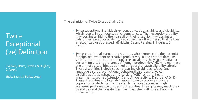### **Twice Exceptional** (2e) Definition

 (Baldwin, Baum, Pereles, & Hughes, C. (2015).

(Reis, Baum, & Burke, 2014).

The definition of Twice Exceptional (2E) :

- Twice exceptional individuals evidence exceptional ability and disability, which results in a unique set of circumstances. Their exceptional ability may dominate, hiding their disability; their disability may dominate, hiding their exceptional ability; each may mask the other so that neither is recognized or addressed. (Baldwin, Baum, Pereles, & Hughes, C.<br>(2015).
- Twice-exceptional learners are students who demonstrate the potential for high achievement or creative productivity in one or more domains such as math, science, technology, the social arts, the visual, spatial, or performing arts or other areas of human productivity AND who manifest one or more disabilities as defined by federal or state eligibility criteria. These disabilities include specific learning disabilities; speech and language disorders; emotional/behavioral disorders; physical disabilities; Autism Spectrum Disorders (ASD); or other health impairments, such as Attention Deficit/Hyperactivity Disorder (ADHD). These disabilities and high abilities combine to produce a unique population of students who may fail to demonstrate either high academic performance or specific disabilities. Their gifts may mask their disabilities and their disabilities may mask their gifts (Reis, Baum, & Burke, 2014).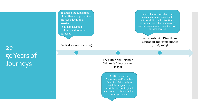2e 50 Years of **Journeys** 

To amend the Education of the Handicapped Act to provide educational assistance to all handicapped children, and for other purposes.

Public-Law 94-142 (1975) (IDEA, 2004)

The Gifted and Talented The Gifted and Talented Children's Education Act (1978)

> A bill to amend the Elementary and Secondary Education Act of 1965 to establish programs for special assistance to gifted and talented children, and for other purposes.

a law that makes available a free appropriate public education to eligible children with disabilities throughout the nation and ensures special education and related services to those children

Individuals with Disabilities Education Improvement Act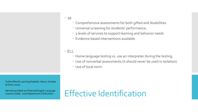#### • 2e

- i<br>I Comprehensive assessments for both gifted and disabilities.
- Universal screening for students' performance.
- 3 levels of services to support learning and behavior needs
- Evidence-based interventions available

#### ELL

- Home language testing vs. use an interpreter during the testing.
- Use of nonverbal assessments (it should never be used in isolation)
- Use of local norm

 To Be Gifted & Learning Disabled. Baum, Schader & Owen (2017)

 Identifying Gifted and Talented English Language Leaners (2008). Iowa Department of Education

# Effective Identification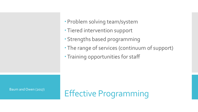- Problem solving team/system
- Tiered intervention support
- Strengths based programming
- The range of services (continuum of support)
- Training opportunities for staff

Baum and Owen (2017)

Effective Programming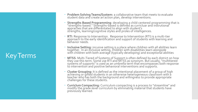## Key Terms

- **Problem Solving Teams/System:** a collaborative team that meets to evaluate student data and create an action plan, develop interventions.
- **Strengths Based Programming**: developing a child-centered programming that is "strengths-based." Strengths-based is defined as curricluar and instrutional appraches that are differentated to align with student's strengths, learning/cognitive styles and proles of intelligences.
- **RTI**: Response to Intervention. Response to Intervention (RTI) is a multi-tier approach to the early identification and support of students with learning and behavior needs.
- **Inclusive Setting:** incusive setting is a place where children with all abilities learn together. In an inclusive setting, children with disabilities learn alongside<br>with children with both average (typically developing) and exceptional abilities
- **MTSS**: Multi-Tiered of Systems of Support is often defined by each district on how they use this term. Some use RTI and MTSS as synonym. But usually, "multitiered they use this term. Some use RTI and MTSS as synonym. But usually, "multitiered<br>systems of supports" is used as an umbrella term that encompasses both response to intervention and positive behavioral interventions and supports.
- Cluster Grouping: It is defined as the intentional placement of a group of high achieving or gifted students in an otherwise heterogeneous classroom with a teacher who has both the background and willingness to provide appropriate challenges for these students.
- **Curricium Compacting:** Curriculum compacting is a process to "streamline" and **Curriclum Compacting:** Curriculum compacting is a process to "streamline" and modify the grade-level curriculum by eliminating material that students have previously learned.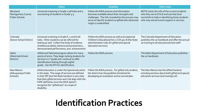|                                                               | <b>Gifted</b>                                                                                                                                                                                                                                                                                                     | <b>Disability</b>                                                                                                                                                                                                          | <b>Other notes</b>                                                                                                                                                                       |
|---------------------------------------------------------------|-------------------------------------------------------------------------------------------------------------------------------------------------------------------------------------------------------------------------------------------------------------------------------------------------------------------|----------------------------------------------------------------------------------------------------------------------------------------------------------------------------------------------------------------------------|------------------------------------------------------------------------------------------------------------------------------------------------------------------------------------------|
| Maryland<br><b>Montgomery County</b><br><b>Public Schools</b> | Universal screening in Grade 2 (all kids) and a<br>rescreening of students in Grade 3-5.                                                                                                                                                                                                                          | Follow the IDEA process and information<br>becomes available about their strengths and<br>challenges. The info revealed by this process may<br>serve to identify students as gifted who otherwise<br>might o unidentified. | MCPS tracks the info of the current students<br>who they serve GT/LD and use that local<br>norm/info to help in identifying those students<br>who may warrant extra support or services. |
| Colorado<br>Denver School District                            | Universal screening in Grade K, 2 and 6 (all<br>kids). Other students can be referred for<br>testing as well. Collect the body of evidence<br>(intellectual ability, behaviors/characteristics,<br>demonstrated performance, and achievement)                                                                     | Follow the IDEA process as well as Exceptional<br>Children's Educational Act 1 CCR 301-8 (the State<br>administration rules for gifted and special<br>education services)                                                  | The Colorado Department of Education<br>publishes the 2e handbook and offer the annual<br>2e training to all educators/school staff.                                                     |
| Idaho<br>(West Ada School<br>District)                        | Gifted and Talented program allows for many<br>points of entry. They begin testing students for<br>services in 1 <sup>st</sup> grade and continue to offer<br>identification testing through eighth<br>grade. Use the RTI for identification.                                                                     | Follow the IDEA process.                                                                                                                                                                                                   | The Idaho Department of Education publishes<br>the 2e handbook.                                                                                                                          |
| New Mexico<br>(Albuquerque Public<br>Schools)                 | Gifted education is under the Special education<br>in the state. The range of services are defined<br>in their IEP (but the State handout is very clear<br>that their gifted services won't be align with the<br>FAPE definition since the IDEA doesn't<br>recognize the "giftedness" as a type of<br>disability. | Follow the IDEA process. For gifted only student,<br>the district has the quideline (timeline) for<br>developing an evaluation and an annual plan.                                                                         | The New Mexico has the Gifted handout<br>including sections about both gifted and special<br>education services (and overlaps of).                                                       |

# **Identification Practices**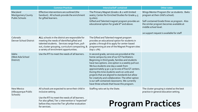|                                                               | <b>Common Practices</b>                                                                                                                                                                                                                           | <b>Intensive/Self contained</b>                                                                                                                                                                                                                                                                                                                                                                                                                                                                                                                             | <b>Other notes</b>                                                                                                                                                                                                                               |
|---------------------------------------------------------------|---------------------------------------------------------------------------------------------------------------------------------------------------------------------------------------------------------------------------------------------------|-------------------------------------------------------------------------------------------------------------------------------------------------------------------------------------------------------------------------------------------------------------------------------------------------------------------------------------------------------------------------------------------------------------------------------------------------------------------------------------------------------------------------------------------------------------|--------------------------------------------------------------------------------------------------------------------------------------------------------------------------------------------------------------------------------------------------|
| Maryland<br><b>Montgomery County</b><br><b>Public Schools</b> | Effective interventions are outlined (the<br>handout). All schools provide the enrichment<br>for gifted learners.                                                                                                                                 | The Primary Magnet (Grade 1 & 2 with limited<br>seats), Center for Enriched Studies for Grade 4-5<br>(9 sites).<br>Gifted and Talented magnet program provides an<br>educational option for grade 6 <sup>th</sup> and above.                                                                                                                                                                                                                                                                                                                                | Wings Mentor Program (for 2e students. 8wks<br>program at their child's school).<br>Self-contained Grade three 2e program. Also<br>the similar program becomes available at<br>middle school level.<br>2e support request is available for staff |
| Colorado<br><b>Denver School District</b>                     | ALL schools in the district are responsible for<br>meeting the needs of identified gifted and<br>talented students. Services range from, pull-<br>out, cluster grouping, curriculum compacting, &<br>a variety of enrichment opportunities.       | The Gifted and Talented magnet program<br>provides an educational option for students in<br>grades 1 through 8 to apply for center-based<br>programming at one of the Magnet Program sites<br>(top 1-2%).                                                                                                                                                                                                                                                                                                                                                   |                                                                                                                                                                                                                                                  |
| Idaho<br>(West Ada School<br>District)                        | Use the RTI to meet the needs of all learners.                                                                                                                                                                                                    | In second grade, services are provided at the<br>home campus by one of our GT Facilitators.<br>Beginning in third grade, families and students<br>have two options. one option is a weekly pull out.<br>We bus students one day a week from<br>approximately 9:30-1:30 to one of five GT centers.<br>During this time students work on units and<br>projects that are aligned to standards but allow<br>for creativity and collaboration. The other option<br>is our self-contained classrooms. We currently<br>have three schools that house this program. |                                                                                                                                                                                                                                                  |
| New Mexico<br>(Albuquerque Public<br>Schools)                 | All schools are expected to serve their child in<br>inclusive setting.<br>Use the RTI to meet the needs of all learners.<br>For also gifted, Tier 2 intervention is "expected"<br>before they move the Tier 3/further evaluation<br>for services. | Staffing ratio set by the State.                                                                                                                                                                                                                                                                                                                                                                                                                                                                                                                            | The cluster grouping is stated as the best<br>practice in general education setting.<br><b>Program Practices</b>                                                                                                                                 |